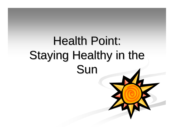# **Health Point:** Staying Healthy in the Sun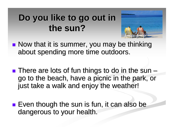#### Do you like to go out in **the sun? the sun?**



- $\blacksquare$  Now that it is summer, you may be thinking about spending more time outdoors.
- **There are lots of fun things to do in the sun** –go to the beach, have a picnic in the park, or just take a walk and enjoy the weather!
- **Exen though the sun is fun, it can also be** dangerous to your health.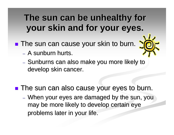#### The sun can be unhealthy for **your skin and for your eyes.**

- **The sun can cause your skin to burn.** 
	- A sunburn hurts.
	- Sunburns can also make you more likely to develop skin cancer.
- **The sun can also cause your eyes to burn.** 
	- When your eyes are damaged by the sun, you may be more likely to develop certain eye problems later in your life.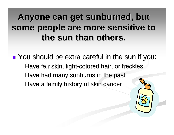#### Anyone can get sunburned, but some people are more sensitive to **the sun than others.**

**The You should be extra careful in the sun if you:** 

- Have fair skin, light-colored hair, or freckles
- Have had many sunburns in the past
- $-$  Have a family history of skin cancer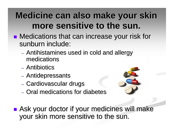#### **Medicine can also make your skin more sensitive to the sun. more sensitive to the sun.**

- **Medications that can increase your risk for** sunburn include:
	- $-$  Antihistamines used in cold and allergy medications medications
	- Antibiotics
	- Antidepressants
	- Cardiovascular drugs
	- Oral medications for diabetes



**Ask your doctor if your medicines will make** your skin more sensitive to the sun.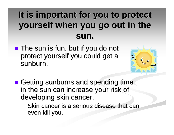### It is important for you to protect **yourself when you go out in the yourself when you go out in the sun.**

 $\blacksquare$  The sun is fun, but if you do not protect yourself you could get a sunburn.



- **n** Getting sunburns and spending time in the sun can increase your risk of developing skin cancer.
	- Skin cancer is a serious disease that can even kill you.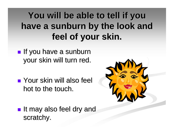#### **You will be able to tell if you You will be able to tell if you**  have a sunburn by the look and **feel of your skin. feel of your skin.**

- $\blacksquare$  If you have a sunburn your skin will turn red.
- $\blacksquare$  Your skin will also feel hot to the touch.



 $\blacksquare$  It may also feel dry and scratchy.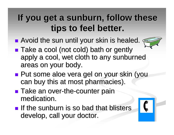#### If you get a sunburn, follow these **tips to feel better. tips to feel better.**

**• Avoid the sun until your skin is healed.** 



- ■ Take a cool (not cold) bath or gently apply a cool, wet cloth to any sunburned areas on your body.
- **Put some aloe vera gel on your skin (you** can buy this at most pharmacies).
- $\blacksquare$  Take an over-the-counter pain medication.
- **If the sunburn is so bad that blisters** develop, call your doctor.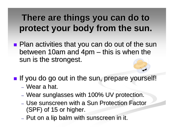#### **There are things you can do to protect your body from the sun. protect your body from the sun.**

- **Plan activities that you can do out of the sun** between 10am and 4pm  $\cdot$  $-$  this is when the  $\,$ sun is the strongest.
- **If you do go out in the sun, prepare yourself!** 
	- Wear a hat.
	- Wear sunglasses with 100% UV protection.
	- Use sunscreen with a Sun Protection Factor  $(SPF)$  of 15 or higher.
	- $-$  Put on a lip balm with sunscreen in it.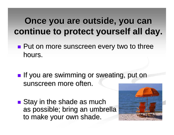#### **Once you are outside, you can continue to protect yourself all day. continue to protect yourself all day.**

- **Put on more sunscreen every two to three** hours.
- **If you are swimming or sweating, put on** sunscreen more often.
- $\blacksquare$  Stay in the shade as much as possible; bring an umbrella to make your own shade.

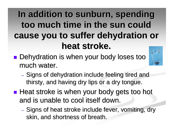#### In addition to sunburn, spending **too much time in the sun could too much time in the sun could cause you to suffer dehydration or cause you to suffer dehydration or heat stroke. heat stroke.**

- **Dehydration is when your body loses too** much water.
	- $-$  Signs of dehydration include feeling tired and thirsty, and having dry lips or a dry tongue.
- **Heat stroke is when your body gets too hot** and is unable to cool itself down.
	- Signs of heat stroke include fever, vomiting, dry skin, and shortness of breath.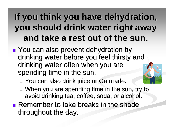#### If you think you have dehydration, **you should drink water right away you should drink water right away and take a rest out of the sun. and take a rest out of the sun.**

- **P** You can also prevent dehydration by drinking water before you feel thirsty and drinking water before you feel thirsty and drinking water often when you are spending time in the sun.
	- $-$  You can also drink juice or Gatorade.
		- $\,$  When you are spending time in the sun, try to avoid drinking tea, coffee, soda, or alcohol.
- **Remember to take breaks in the shade** throughout the day.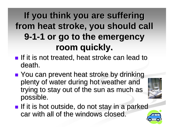#### If you think you are suffering **from heat stroke, you should call from heat stroke, you should call 9 1 -1 or go to the emergency 1 or go to the emergency room quickly. room quickly.**

- **If it is not treated, heat stroke can lead to** death.
- ■ You can prevent heat stroke by drinking plenty of water during hot weather and trying to stay out of the sun as much as possible.



**If it is hot outside, do not stay in a parked** car with all of the windows closed.

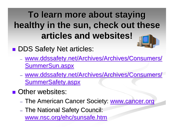#### **To learn more about staying To learn more about staying**  healthy in the sun, check out these **articles and websites! articles and websites!**

**DDS Safety Net articles:** 

- www.ddssafety.net/Archives/Archives/Consumers/ SummerSun.aspx
- www.ddssafety.net/Archives/Archives/Consumers/ SummerSafety.aspx
- **Desimble Detect Websites:** 
	- The American Cancer Society: www.cancer.org
	- The National Safety Council: www.nsc.org/ehc/sunsafe.htm